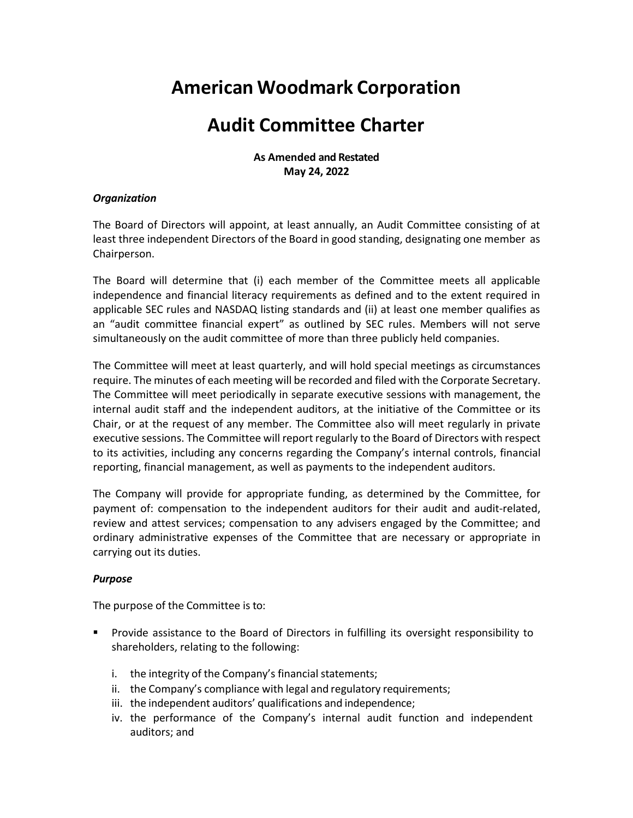# **American Woodmark Corporation**

# **Audit Committee Charter**

**As Amended and Restated May 24, 2022**

#### *Organization*

The Board of Directors will appoint, at least annually, an Audit Committee consisting of at least three independent Directors of the Board in good standing, designating one member as Chairperson.

The Board will determine that (i) each member of the Committee meets all applicable independence and financial literacy requirements as defined and to the extent required in applicable SEC rules and NASDAQ listing standards and (ii) at least one member qualifies as an "audit committee financial expert" as outlined by SEC rules. Members will not serve simultaneously on the audit committee of more than three publicly held companies.

The Committee will meet at least quarterly, and will hold special meetings as circumstances require. The minutes of each meeting will be recorded and filed with the Corporate Secretary. The Committee will meet periodically in separate executive sessions with management, the internal audit staff and the independent auditors, at the initiative of the Committee or its Chair, or at the request of any member. The Committee also will meet regularly in private executive sessions. The Committee will report regularly to the Board of Directors with respect to its activities, including any concerns regarding the Company's internal controls, financial reporting, financial management, as well as payments to the independent auditors.

The Company will provide for appropriate funding, as determined by the Committee, for payment of: compensation to the independent auditors for their audit and audit-related, review and attest services; compensation to any advisers engaged by the Committee; and ordinary administrative expenses of the Committee that are necessary or appropriate in carrying out its duties.

## *Purpose*

The purpose of the Committee is to:

- Provide assistance to the Board of Directors in fulfilling its oversight responsibility to shareholders, relating to the following:
	- i. the integrity of the Company's financial statements;
	- ii. the Company's compliance with legal and regulatory requirements;
	- iii. the independent auditors' qualifications and independence;
	- iv. the performance of the Company's internal audit function and independent auditors; and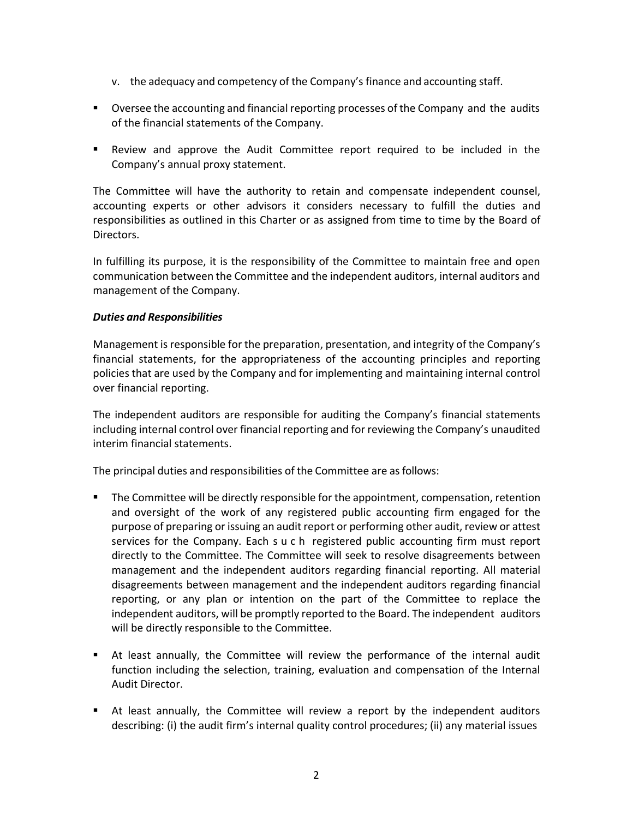- v. the adequacy and competency of the Company's finance and accounting staff.
- Oversee the accounting and financial reporting processes of the Company and the audits of the financial statements of the Company.
- Review and approve the Audit Committee report required to be included in the Company's annual proxy statement.

The Committee will have the authority to retain and compensate independent counsel, accounting experts or other advisors it considers necessary to fulfill the duties and responsibilities as outlined in this Charter or as assigned from time to time by the Board of Directors.

In fulfilling its purpose, it is the responsibility of the Committee to maintain free and open communication between the Committee and the independent auditors, internal auditors and management of the Company.

## *Duties and Responsibilities*

Management is responsible for the preparation, presentation, and integrity of the Company's financial statements, for the appropriateness of the accounting principles and reporting policies that are used by the Company and for implementing and maintaining internal control over financial reporting.

The independent auditors are responsible for auditing the Company's financial statements including internal control over financial reporting and for reviewing the Company's unaudited interim financial statements.

The principal duties and responsibilities of the Committee are asfollows:

- **The Committee will be directly responsible for the appointment, compensation, retention** and oversight of the work of any registered public accounting firm engaged for the purpose of preparing or issuing an audit report or performing other audit, review or attest services for the Company. Each s u c h registered public accounting firm must report directly to the Committee. The Committee will seek to resolve disagreements between management and the independent auditors regarding financial reporting. All material disagreements between management and the independent auditors regarding financial reporting, or any plan or intention on the part of the Committee to replace the independent auditors, will be promptly reported to the Board. The independent auditors will be directly responsible to the Committee.
- At least annually, the Committee will review the performance of the internal audit function including the selection, training, evaluation and compensation of the Internal Audit Director.
- At least annually, the Committee will review a report by the independent auditors describing: (i) the audit firm's internal quality control procedures; (ii) any material issues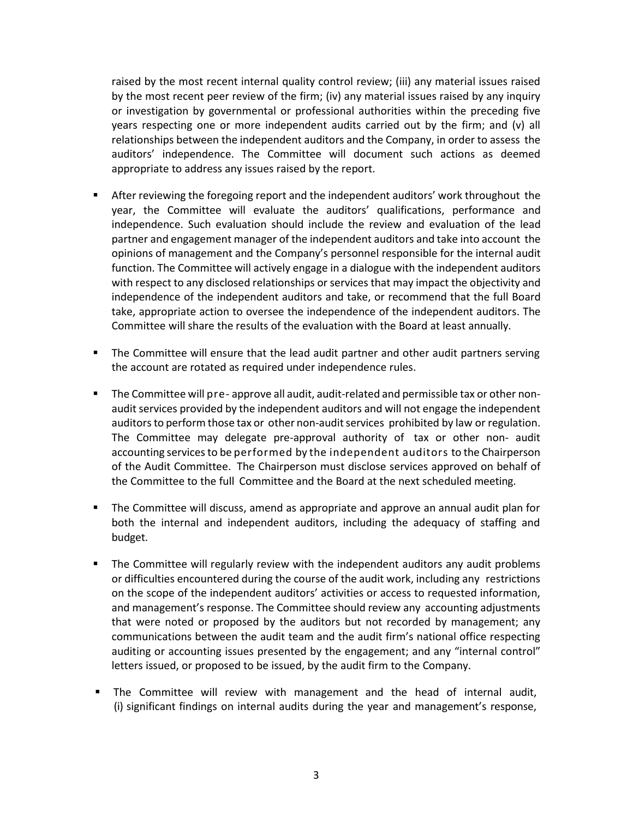raised by the most recent internal quality control review; (iii) any material issues raised by the most recent peer review of the firm; (iv) any material issues raised by any inquiry or investigation by governmental or professional authorities within the preceding five years respecting one or more independent audits carried out by the firm; and (v) all relationships between the independent auditors and the Company, in order to assess the auditors' independence. The Committee will document such actions as deemed appropriate to address any issues raised by the report.

- After reviewing the foregoing report and the independent auditors' work throughout the year, the Committee will evaluate the auditors' qualifications, performance and independence. Such evaluation should include the review and evaluation of the lead partner and engagement manager of the independent auditors and take into account the opinions of management and the Company's personnel responsible for the internal audit function. The Committee will actively engage in a dialogue with the independent auditors with respect to any disclosed relationships or services that may impact the objectivity and independence of the independent auditors and take, or recommend that the full Board take, appropriate action to oversee the independence of the independent auditors. The Committee will share the results of the evaluation with the Board at least annually.
- The Committee will ensure that the lead audit partner and other audit partners serving the account are rotated as required under independence rules.
- The Committee will pre- approve all audit, audit-related and permissible tax or other nonaudit services provided by the independent auditors and will not engage the independent auditors to perform those tax or other non-audit services prohibited by law or regulation. The Committee may delegate pre-approval authority of tax or other non- audit accounting services to be performed by the independent auditors to the Chairperson of the Audit Committee. The Chairperson must disclose services approved on behalf of the Committee to the full Committee and the Board at the next scheduled meeting.
- The Committee will discuss, amend as appropriate and approve an annual audit plan for both the internal and independent auditors, including the adequacy of staffing and budget.
- The Committee will regularly review with the independent auditors any audit problems or difficulties encountered during the course of the audit work, including any restrictions on the scope of the independent auditors' activities or access to requested information, and management's response. The Committee should review any accounting adjustments that were noted or proposed by the auditors but not recorded by management; any communications between the audit team and the audit firm's national office respecting auditing or accounting issues presented by the engagement; and any "internal control" letters issued, or proposed to be issued, by the audit firm to the Company.
- The Committee will review with management and the head of internal audit, (i) significant findings on internal audits during the year and management's response,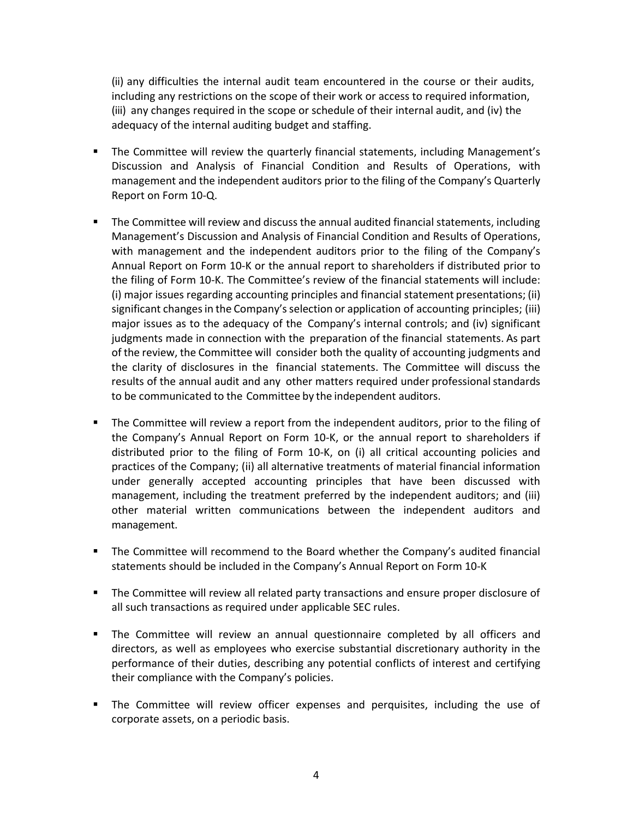(ii) any difficulties the internal audit team encountered in the course or their audits, including any restrictions on the scope of their work or access to required information, (iii) any changes required in the scope or schedule of their internal audit, and (iv) the adequacy of the internal auditing budget and staffing.

- The Committee will review the quarterly financial statements, including Management's Discussion and Analysis of Financial Condition and Results of Operations, with management and the independent auditors prior to the filing of the Company's Quarterly Report on Form 10-Q.
- **The Committee will review and discuss the annual audited financial statements, including** Management's Discussion and Analysis of Financial Condition and Results of Operations, with management and the independent auditors prior to the filing of the Company's Annual Report on Form 10-K or the annual report to shareholders if distributed prior to the filing of Form 10-K. The Committee's review of the financial statements will include: (i) major issues regarding accounting principles and financial statement presentations; (ii) significant changes in the Company's selection or application of accounting principles; (iii) major issues as to the adequacy of the Company's internal controls; and (iv) significant judgments made in connection with the preparation of the financial statements. As part of the review, the Committee will consider both the quality of accounting judgments and the clarity of disclosures in the financial statements. The Committee will discuss the results of the annual audit and any other matters required under professional standards to be communicated to the Committee by the independent auditors.
- **The Committee will review a report from the independent auditors, prior to the filing of** the Company's Annual Report on Form 10-K, or the annual report to shareholders if distributed prior to the filing of Form 10-K, on (i) all critical accounting policies and practices of the Company; (ii) all alternative treatments of material financial information under generally accepted accounting principles that have been discussed with management, including the treatment preferred by the independent auditors; and (iii) other material written communications between the independent auditors and management.
- The Committee will recommend to the Board whether the Company's audited financial statements should be included in the Company's Annual Report on Form 10-K
- The Committee will review all related party transactions and ensure proper disclosure of all such transactions as required under applicable SEC rules.
- The Committee will review an annual questionnaire completed by all officers and directors, as well as employees who exercise substantial discretionary authority in the performance of their duties, describing any potential conflicts of interest and certifying their compliance with the Company's policies.
- The Committee will review officer expenses and perquisites, including the use of corporate assets, on a periodic basis.